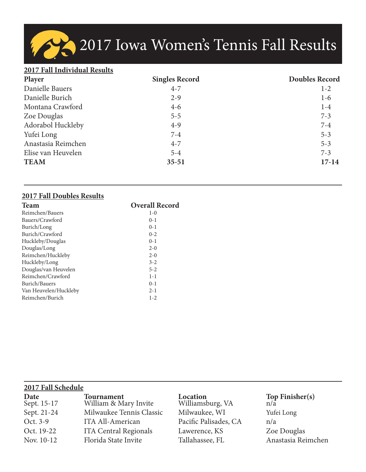2017 Iowa Women's Tennis Fall Results

## **2017 Fall Individual Results**

| Player             | <b>Singles Record</b> | <b>Doubles Record</b> |
|--------------------|-----------------------|-----------------------|
| Danielle Bauers    | $4 - 7$               | $1 - 2$               |
| Danielle Burich    | $2 - 9$               | $1-6$                 |
| Montana Crawford   | $4 - 6$               | $1-4$                 |
| Zoe Douglas        | $5 - 5$               | $7 - 3$               |
| Adorabol Huckleby  | $4-9$                 | $7 - 4$               |
| Yufei Long         | $7 - 4$               | $5 - 3$               |
| Anastasia Reimchen | $4 - 7$               | $5 - 3$               |
| Elise van Heuvelen | $5 - 4$               | $7 - 3$               |
| <b>TEAM</b>        | $35 - 51$             | $17 - 14$             |

## **2017 Fall Doubles Results**

| <b>Team</b>           | <b>Overall Record</b> |
|-----------------------|-----------------------|
| Reimchen/Bauers       | $1-0$                 |
| Bauers/Crawford       | $0-1$                 |
| Burich/Long           | $0-1$                 |
| Burich/Crawford       | $0 - 2$               |
| Huckleby/Douglas      | $0 - 1$               |
| Douglas/Long          | $2 - 0$               |
| Reimchen/Huckleby     | $2-0$                 |
| Huckleby/Long         | $3 - 2$               |
| Douglas/van Heuvelen  | $5 - 2$               |
| Reimchen/Crawford     | $1 - 1$               |
| Burich/Bauers         | $0-1$                 |
| Van Heuvelen/Huckleby | $2 - 1$               |
| Reimchen/Burich       | $1 - 2$               |

| 2017 Fall Schedule  |                                     |                              |                       |  |  |  |  |  |  |
|---------------------|-------------------------------------|------------------------------|-----------------------|--|--|--|--|--|--|
| Date<br>Sept. 15-17 | Tournament<br>William & Mary Invite | Location<br>Williamsburg, VA | Top Finisher(s) $n/a$ |  |  |  |  |  |  |
| Sept. 21-24         | Milwaukee Tennis Classic            | Milwaukee, WI                | Yufei Long            |  |  |  |  |  |  |
| Oct. 3-9            | ITA All-American                    | Pacific Palisades, CA        | n/a                   |  |  |  |  |  |  |
| Oct. 19-22          | <b>ITA Central Regionals</b>        | Lawerence, KS                | Zoe Douglas           |  |  |  |  |  |  |
| Nov. 10-12          | Florida State Invite                | Tallahassee, FL              | Anastasia Reimchen    |  |  |  |  |  |  |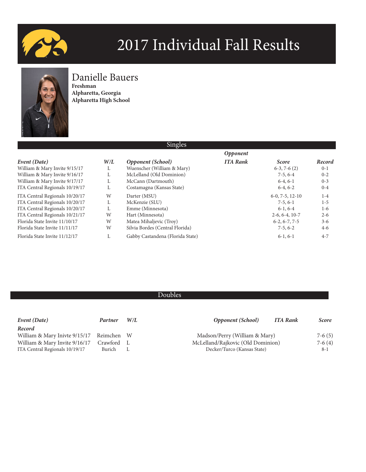



## Danielle Bauers

**Freshman Alpharetta, Georgia Alpharetta High School**

|     | Singles                          |                 |                   |         |
|-----|----------------------------------|-----------------|-------------------|---------|
|     |                                  | <b>Opponent</b> |                   |         |
| W/L | <b>Opponent</b> (School)         | <b>ITA Rank</b> | <b>Score</b>      | Record  |
| L   | Wuenscher (William & Mary)       |                 | $6-3, 7-6(2)$     | $0-1$   |
| L   | McLelland (Old Dominion)         |                 | $7-5, 6-4$        | $0 - 2$ |
| L   | McCann (Dartmouth)               |                 | $6-4, 6-1$        | $0 - 3$ |
| L   | Costamagna (Kansas State)        |                 | $6-4, 6-2$        | $0 - 4$ |
| W   | Darter (MSU)                     |                 | $6-0, 7-5, 12-10$ | $1 - 4$ |
| L   | McKenzie (SLU)                   |                 | $7-5, 6-1$        | $1-5$   |
| L   | Emme (Minnesota)                 |                 | $6-1, 6-4$        | $1-6$   |
| W   | Hart (Minnesota)                 |                 | $2-6, 6-4, 10-7$  | $2 - 6$ |
| W   | Matea Mihaljevic (Troy)          |                 | $6-2, 6-7, 7-5$   | $3 - 6$ |
| W   | Silvia Bordes (Central Florida)  |                 | $7-5, 6-2$        | $4-6$   |
| L   | Gabby Castandena (Florida State) |                 | $6-1, 6-1$        | $4 - 7$ |
|     |                                  |                 |                   |         |

| Event (Date)                             | Partner  | W/L | <b>Opponent</b> (School)<br>ITA Rank | <i>Score</i> |
|------------------------------------------|----------|-----|--------------------------------------|--------------|
| Record                                   |          |     |                                      |              |
| William & Mary Inivte 9/15/17 Reimchen W |          |     | Madson/Perry (William & Mary)        | $7-6(5)$     |
| William & Mary Invite 9/16/17            | Crawford |     | McLelland/Rajkovic (Old Dominion)    | $7-6(4)$     |
| ITA Central Regionals 10/19/17           | Burich   |     | Decker/Turco (Kansas State)          | $8 - 1$      |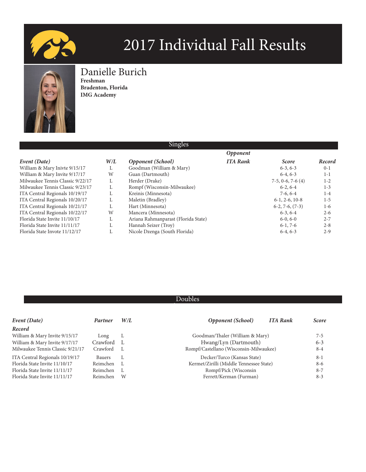



## Danielle Burich **Freshman**

**Bradenton, Florida IMG Academy**

| <b>SHILLES</b>                   |     |                                     |                 |                    |         |  |  |
|----------------------------------|-----|-------------------------------------|-----------------|--------------------|---------|--|--|
|                                  |     |                                     | <b>Opponent</b> |                    |         |  |  |
| Event (Date)                     | W/L | Opponent (School)                   | <b>ITA Rank</b> | <b>Score</b>       | Record  |  |  |
| William & Mary Inivte 9/15/17    |     | Goodman (William & Mary)            |                 | $6-3, 6-3$         | $0 - 1$ |  |  |
| William & Mary Invite 9/17/17    | W   | Guan (Dartmouth)                    |                 | $6-4, 6-3$         | $1 - 1$ |  |  |
| Milwaukee Tennis Classic 9/22/17 |     | Herder (Drake)                      |                 | $7-5, 0-6, 7-6(4)$ | $1 - 2$ |  |  |
| Milwaukee Tennis Classic 9/23/17 |     | Rompf (Wisconsin-Milwaukee)         |                 | $6-2, 6-4$         | $1 - 3$ |  |  |
| ITA Central Regionals 10/19/17   |     | Kreinis (Minnesota)                 |                 | $7-6, 6-4$         | $1 - 4$ |  |  |
| ITA Central Regionals 10/20/17   |     | Maletin (Bradley)                   |                 | $6-1, 2-6, 10-8$   | $1 - 5$ |  |  |
| ITA Central Regionals 10/21/17   |     | Hart (Minnesota)                    |                 | $6-2, 7-6, (7-3)$  | $1-6$   |  |  |
| ITA Central Regionals 10/22/17   | W   | Mancera (Minnesota)                 |                 | $6-3, 6-4$         | $2 - 6$ |  |  |
| Florida State Invite 11/10/17    |     | Ariana Rahmanparast (Florida State) |                 | $6-0, 6-0$         | $2 - 7$ |  |  |
| Florida State Invite 11/11/17    |     | Hannah Seizer (Troy)                |                 | $6-1, 7-6$         | $2 - 8$ |  |  |
| Florida State Invote 11/12/17    |     | Nicole Dzenga (South Florida)       |                 | $6-4, 6-3$         | $2 - 9$ |  |  |

 $\Omega$ :

| Event (Date)                     | Partner       | W/L | <b>Opponent</b> (School)                | <b>ITA Rank</b> | <b>Score</b> |
|----------------------------------|---------------|-----|-----------------------------------------|-----------------|--------------|
| Record                           |               |     |                                         |                 |              |
| William & Mary Invite 9/15/17    | Long          | L   | Goodman/Thaler (William & Mary)         |                 | $7 - 5$      |
| William & Mary Invite 9/17/17    | Crawford      |     | Hwang/Lyn (Dartmouth)                   |                 | $6 - 3$      |
| Milwaukee Tennis Classic 9/21/17 | Crawford      |     | Rompf/Castellano (Wisconsin-Milwaukee)  |                 | $8 - 4$      |
| ITA Central Regionals 10/19/17   | <b>Bauers</b> | L   | Decker/Turco (Kansas State)             |                 | $8 - 1$      |
| Florida State Invite 11/10/17    | Reimchen      |     | Kermet/Zirilli (Middle Tennessee State) |                 | $8-6$        |
| Florida State Invite 11/11/17    | Reimchen      | L   | Rompf/Pick (Wisconsin                   |                 | $8 - 7$      |
| Florida State Invite 11/11/17    | Reimchen      | W   | Ferrett/Kerman (Furman)                 |                 | $8 - 3$      |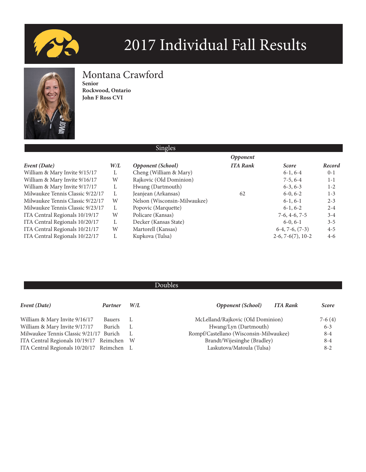



# Montana Crawford

**Senior Rockwood, Ontario John F Ross CVI**

|                                  |     | <b>Singles</b>               |                        |                     |         |
|----------------------------------|-----|------------------------------|------------------------|---------------------|---------|
|                                  |     |                              | <i><b>Opponent</b></i> |                     |         |
| Event (Date)                     | W/L | <b>Opponent</b> (School)     | <b>ITA Rank</b>        | <b>Score</b>        | Record  |
| William & Mary Invite 9/15/17    | L   | Cheng (William & Mary)       |                        | $6-1, 6-4$          | $0 - 1$ |
| William & Mary Invite 9/16/17    | W   | Rajkovic (Old Dominion)      |                        | $7-5, 6-4$          | $1 - 1$ |
| William & Mary Invite 9/17/17    |     | Hwang (Dartmouth)            |                        | $6-3, 6-3$          | $1 - 2$ |
| Milwaukee Tennis Classic 9/22/17 | L   | Jeanjean (Arkansas)          | 62                     | $6-0, 6-2$          | $1 - 3$ |
| Milwaukee Tennis Classic 9/22/17 | W   | Nelson (Wisconsin-Milwaukee) |                        | $6-1, 6-1$          | $2 - 3$ |
| Milwaukee Tennis Classic 9/23/17 | L   | Popovic (Marquette)          |                        | $6-1, 6-2$          | $2 - 4$ |
| ITA Central Regionals 10/19/17   | W   | Policare (Kansas)            |                        | $7-6, 4-6, 7-5$     | $3 - 4$ |
| ITA Central Regionals 10/20/17   | L   | Decker (Kansas State)        |                        | $6-0, 6-1$          | $3 - 5$ |
| ITA Central Regionals 10/21/17   | W   | Martorell (Kansas)           |                        | $6-4, 7-6, (7-3)$   | $4 - 5$ |
| ITA Central Regionals 10/22/17   |     | Kupkova (Tulsa)              |                        | $2-6, 7-6(7), 10-2$ | $4 - 6$ |
|                                  |     |                              |                        |                     |         |

| Event (Date)                              | Partner | W/L | <b>Opponent</b> (School)               | <b>ITA Rank</b> | <b>Score</b> |
|-------------------------------------------|---------|-----|----------------------------------------|-----------------|--------------|
| William & Mary Invite 9/16/17             | Bauers  |     | McLelland/Rajkovic (Old Dominion)      |                 | $7-6(4)$     |
| William & Mary Invite 9/17/17             | Burich  | L   | Hwang/Lyn (Dartmouth)                  |                 | $6 - 3$      |
| Milwaukee Tennis Classic 9/21/17 Burich   |         |     | Rompf/Castellano (Wisconsin-Milwaukee) |                 | $8 - 4$      |
| ITA Central Regionals 10/19/17 Reimchen W |         |     | Brandt/Wijesinghe (Bradley)            |                 | $8 - 4$      |
| ITA Central Regionals 10/20/17 Reimchen L |         |     | Laskutova/Matoula (Tulsa)              |                 | $8 - 2$      |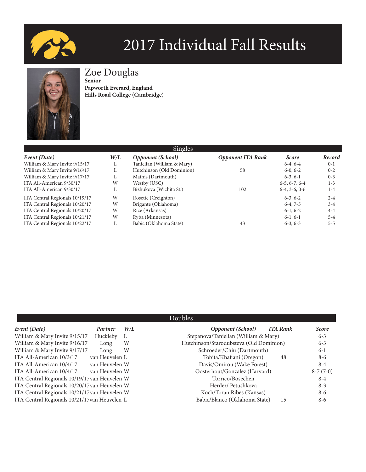



Zoe Douglas

**Senior Papworth Everard, England Hills Road College (Cambridge)**

| Singles                        |     |                            |                          |                 |         |  |
|--------------------------------|-----|----------------------------|--------------------------|-----------------|---------|--|
| Event (Date)                   | W/L | <b>Opponent</b> (School)   | <b>Opponent ITA Rank</b> | <b>Score</b>    | Record  |  |
| William & Mary Invite 9/15/17  | L.  | Tanielian (William & Mary) |                          | $6-4, 6-4$      | $0-1$   |  |
| William & Mary Invite 9/16/17  |     | Hutchinson (Old Dominion)  | 58                       | $6-0, 6-2$      | $0 - 2$ |  |
| William & Mary Invite 9/17/17  |     | Mathis (Dartmouth)         |                          | $6-3, 6-1$      | $0 - 3$ |  |
| ITA All-American 9/30/17       | W   | Westby (USC)               |                          | $6-5, 6-7, 6-4$ | $1 - 3$ |  |
| ITA All-American 9/30/17       |     | Bizhukova (Wichita St.)    | 102                      | $6-4, 3-6, 0-6$ | $1 - 4$ |  |
| ITA Central Regionals 10/19/17 | W   | Rosette (Creighton)        |                          | $6-3, 6-2$      | $2 - 4$ |  |
| ITA Central Regionals 10/20/17 | W   | Brigante (Oklahoma)        |                          | $6-4, 7-5$      | $3 - 4$ |  |
| ITA Central Regionals 10/20/17 | W   | Rice (Arkansas)            |                          | $6-1, 6-2$      | $4-4$   |  |
| ITA Central Regionals 10/21/17 | W   | Ryba (Minnesota)           |                          | $6-1, 6-1$      | $5 - 4$ |  |
| ITA Central Regionals 10/22/17 | L.  | Babic (Oklahoma State)     | 43                       | $6-3, 6-3$      | $5 - 5$ |  |

| Event (Date)                                  | Partner        | W/L | <b>Opponent</b> (School)<br><b>ITA Rank</b> | <b>Score</b> |
|-----------------------------------------------|----------------|-----|---------------------------------------------|--------------|
| William & Mary Invite 9/15/17                 | Huckleby       | L   | Stepanova/Tanielian (William & Mary)        | $6 - 3$      |
| William & Mary Invite 9/16/17                 | Long           | W   | Hutchinson/Starodubsteva (Old Dominion)     | $6 - 3$      |
| William & Mary Invite 9/17/17                 | Long           | W   | Schroeder/Chiu (Dartmouth)                  | $6 - 1$      |
| ITA All-American 10/3/17                      | van Heuvelen L |     | Tobita/Khafiani (Oregon)<br>48              | $8-6$        |
| ITA All-American 10/4/17                      | van Heuvelen W |     | Davis/Omirou (Wake Forest)                  | $8 - 4$      |
| ITA All-American 10/4/17                      | van Heuvelen W |     | Oosterhout/Gonzalez (Harvard)               | $8-7(7-0)$   |
| ITA Central Regionals 10/19/17 van Heuvelen W |                |     | Torrico/Bosechen                            | $8 - 4$      |
| ITA Central Regionals 10/20/17 van Heuvelen W |                |     | Herder/Petushkova                           | $8 - 3$      |
| ITA Central Regionals 10/21/17 van Heuvelen W |                |     | Koch/Toran Ribes (Kansas)                   | $8-6$        |
| ITA Central Regionals 10/21/17van Heuvelen L  |                |     | Babic/Blanco (Oklahoma State)<br>15         | $8-6$        |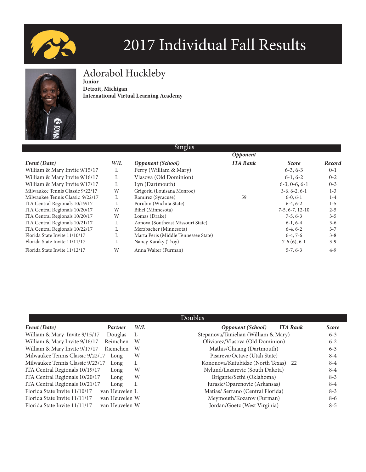



# Adorabol Huckleby

**Junior Detroit, Michigan International Virtual Learning Academy**

|                                  |     | omgics                               |                 |                   |         |
|----------------------------------|-----|--------------------------------------|-----------------|-------------------|---------|
|                                  |     |                                      | <b>Opponent</b> |                   |         |
| Event (Date)                     | W/L | <b>Opponent</b> (School)             | <b>ITA Rank</b> | <b>Score</b>      | Record  |
| William & Mary Invite 9/15/17    | L   | Perry (William & Mary)               |                 | $6-3, 6-3$        | $0 - 1$ |
| William & Mary Invite 9/16/17    |     | Vlasova (Old Dominion)               |                 | $6-1, 6-2$        | $0 - 2$ |
| William & Mary Invite 9/17/17    | L   | Lyn (Dartmouth)                      |                 | $6-3, 0-6, 6-1$   | $0 - 3$ |
| Milwaukee Tennis Classic 9/22/17 | W   | Grigoriu (Louisana Monroe)           |                 | $3-6, 6-2, 6-1$   | $1 - 3$ |
| Milwaukee Tennis Classic 9/22/17 |     | Ramirez (Syracuse)                   | 59              | $6-0, 6-1$        | $1 - 4$ |
| ITA Central Regionals 10/19/17   |     | Porubin (Wichita State)              |                 | $6-4, 6-2$        | $1 - 5$ |
| ITA Central Regionals 10/20/17   | W   | Bihel (Minnesota)                    |                 | $7-5, 6-7, 12-10$ | $2 - 5$ |
| ITA Central Regionals 10/20/17   | W   | Lomas (Drake)                        |                 | $7-5, 6-3$        | $3 - 5$ |
| ITA Central Regionals 10/21/17   |     | Zonova (Southeast Missouri State)    |                 | $6-1, 6-4$        | $3 - 6$ |
| ITA Central Regionals 10/22/17   |     | Merzbacher (Minnesota)               |                 | $6-4, 6-2$        | $3 - 7$ |
| Florida State Invite 11/10/17    |     | Marta Peris (Middle Tennessee State) |                 | $6-4, 7-6$        | $3 - 8$ |
| Florida State Invite 11/11/17    |     | Nancy Karaky (Troy)                  |                 | $7-6(6)$ , 6-1    | $3-9$   |
| Florida State Invite 11/12/17    | W   | Anna Walter (Furman)                 |                 | $5-7, 6-3$        | $4-9$   |

 $\mathbf{S}$ 

| Doubles |
|---------|

|                                  |                |     | Doubles                                     |              |
|----------------------------------|----------------|-----|---------------------------------------------|--------------|
| Event (Date)                     | Partner        | W/L | <b>Opponent</b> (School)<br><b>ITA Rank</b> | <b>Score</b> |
| William & Mary Invite 9/15/17    | Douglas        | L   | Stepanova/Tanielian (William & Mary)        | $6 - 3$      |
| William & Mary Invite 9/16/17    | Reimchen       | W   | Oliviarez/Vlasova (Old Dominion)            | $6 - 2$      |
| William & Mary Invite 9/17/17    | Riemchen       | W   | Mathis/Chuang (Dartmouth)                   | $6 - 3$      |
| Milwaukee Tennis Classic 9/22/17 | Long           | W   | Pisareva/Octave (Utah State)                | $8 - 4$      |
| Milwaukee Tennis Classic 9/23/17 | Long           | L   | Kononova/Kutubidze (North Texas) 22         | $8 - 4$      |
| ITA Central Regionals 10/19/17   | Long           | W   | Nylund/Lazarevic (South Dakota)             | $8 - 4$      |
| ITA Central Regionals 10/20/17   | Long           | W   | Brigante/Sethi (Oklahoma)                   | $8 - 3$      |
| ITA Central Regionals 10/21/17   | Long           | L   | Jurasic/Oparenovic (Arkansas)               | $8 - 4$      |
| Florida State Invite 11/10/17    | van Heuvelen L |     | Matias/ Serrano (Central Florida)           | $8 - 3$      |
| Florida State Invite 11/11/17    | van Heuvelen W |     | Meymouth/Kozarov (Furman)                   | $8-6$        |
| Florida State Invite 11/11/17    | van Heuvelen W |     | Jordan/Goetz (West Virginia)                | $8 - 5$      |
|                                  |                |     |                                             |              |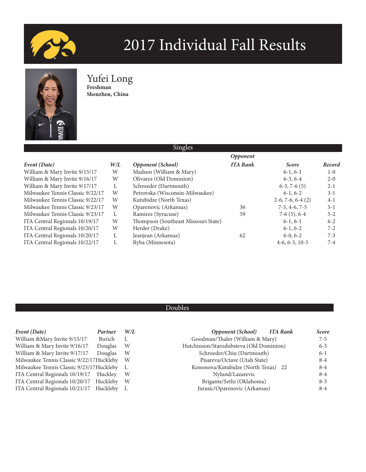



## Yufei Long **Freshman**

**Shenzhen, China**

|                                  |     | Singles                             |                 |                    |         |  |  |
|----------------------------------|-----|-------------------------------------|-----------------|--------------------|---------|--|--|
|                                  |     | Opponent                            |                 |                    |         |  |  |
| Event (Date)                     | W/L | <b>Opponent</b> (School)            | <b>ITA Rank</b> | <b>Score</b>       | Record  |  |  |
| William & Mary Invite 9/15/17    | W   | Madson (William & Mary)             |                 | $6-1, 6-1$         | $1-0$   |  |  |
| William & Mary Invite 9/16/17    | W   | Olivarez (Old Dominion)             |                 | $6-3, 6-4$         | $2 - 0$ |  |  |
| William & Mary Invite 9/17/17    |     | Schroeder (Dartmouth)               |                 | $6-3, 7-6(5)$      | $2 - 1$ |  |  |
| Milwaukee Tennis Classic 9/22/17 | W   | Petrovska (Wisconsin-Milwaukee)     |                 | $6-1, 6-2$         | $3 - 1$ |  |  |
| Milwaukee Tennis Classic 9/22/17 | W   | Kutubidze (North Texas)             |                 | $2-6, 7-6, 6-4(2)$ | $4-1$   |  |  |
| Milwaukee Tennis Classic 9/23/17 | W   | Oparenovic (Arkansas)               | 36              | $7-5, 4-6, 7-5$    | $5 - 1$ |  |  |
| Milwaukee Tennis Classic 9/23/17 | L   | Ramirez (Syracuse)                  | 59              | $7-6(5)$ , 6-4     | $5 - 2$ |  |  |
| ITA Central Regionals 10/19/17   | W   | Thompson (Southeast Missouri State) |                 | $6-1, 6-1$         | $6 - 2$ |  |  |
| ITA Central Regionals 10/20/17   | W   | Herder (Drake)                      |                 | $6-1, 6-2$         | $7 - 2$ |  |  |
| ITA Central Regionals 10/20/17   | L   | Jeanjean (Arkansas)                 | 62              | $6-0, 6-2$         | $7 - 3$ |  |  |
| ITA Central Regionals 10/22/17   |     | Ryba (Minnesota)                    |                 | $4-6, 6-3, 10-5$   | $7 - 4$ |  |  |

| Event (Date)                              | Partner | W/L | <b>Opponent</b> (School)<br><b>ITA Rank</b> | <b>Score</b> |
|-------------------------------------------|---------|-----|---------------------------------------------|--------------|
| William & Mary Invite 9/15/17             | Burich  |     | Goodman/Thaler (William & Mary)             | $7 - 5$      |
| William & Mary Invite 9/16/17             | Douglas | W   | Hutchinson/Starodubsteva (Old Dominion)     | $6 - 3$      |
| William & Mary Invite 9/17/17             | Douglas | W   | Schroeder/Chiu (Dartmouth)                  | $6-1$        |
| Milwaukee Tennis Classic 9/22/17Huckleby  |         | - W | Pisareva/Octave (Utah State)                | $8 - 4$      |
| Milwaukee Tennis Classic 9/23/17 Huckleby |         |     | Kononova/Kutubidze (North Texas) 22         | $8 - 4$      |
| ITA Central Regionals 10/19/17 Huckley    |         | W   | Nylund/Lazarevic                            | $8 - 4$      |
| ITA Central Regionals 10/20/17 Huckleby   |         | - W | Brigante/Sethi (Oklahoma)                   | $8 - 3$      |
| ITA Central Regionals 10/21/17 Huckleby   |         |     | Jurasic/Oparenovic (Arkansas)               | $8 - 4$      |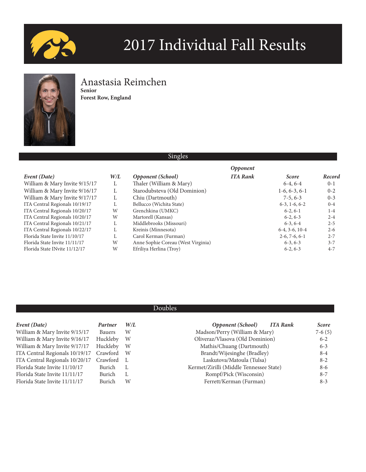



## Anastasia Reimchen **Senior**

**Forest Row, England**

## Singles

|                                |           |                                    | <b>Opponent</b> |                  |         |
|--------------------------------|-----------|------------------------------------|-----------------|------------------|---------|
| Event (Date)                   | $W\!/\!L$ | Opponent (School)                  | <b>ITA Rank</b> | <b>Score</b>     | Record  |
| William & Mary Invite 9/15/17  | L.        | Thaler (William & Mary)            |                 | $6-4, 6-4$       | $0 - 1$ |
| William & Mary Invite 9/16/17  |           | Starodubsteva (Old Dominion)       |                 | $1-6, 6-3, 6-1$  | $0 - 2$ |
| William & Mary Invite 9/17/17  |           | Chiu (Dartmouth)                   |                 | $7-5, 6-3$       | $0 - 3$ |
| ITA Central Regionals 10/19/17 |           | Bellucco (Wichita State)           |                 | $6-3, 1-6, 6-2$  | $0 - 4$ |
| ITA Central Regionals 10/20/17 | W         | Grenchkina (UMKC)                  |                 | $6-2, 6-1$       | $1 - 4$ |
| ITA Central Regionals 10/20/17 | W         | Martorell (Kansas)                 |                 | $6-2, 6-3$       | $2 - 4$ |
| ITA Central Regionals 10/21/17 |           | Middlebrooks (Missouri)            |                 | $6-3, 6-4$       | $2 - 5$ |
| ITA Central Regionals 10/22/17 |           | Kreinis (Minnesota)                |                 | $6-4, 3-6, 10-4$ | $2 - 6$ |
| Florida State Invite 11/10/17  | Ι.        | Carol Kerman (Furman)              |                 | $2-6, 7-6, 6-1$  | $2 - 7$ |
| Florida State Invite 11/11/17  | W         | Anne Sophie Coreau (West Virginia) |                 | $6-3, 6-3$       | $3 - 7$ |
| Florida State INvite 11/12/17  | W         | Efriliya Herlina (Troy)            |                 | $6-2, 6-3$       | $4 - 7$ |

| Event (Date)                   | Partner  | W/L | <b>Opponent</b> (School)<br>ITA Rank    | <b>Score</b> |
|--------------------------------|----------|-----|-----------------------------------------|--------------|
| William & Mary Invite 9/15/17  | Bauers   | W   | Madson/Perry (William & Mary)           | $7-6(5)$     |
| William & Mary Invite 9/16/17  | Huckleby | W   | Oliveraz/Vlasova (Old Dominion)         | $6 - 2$      |
| William & Mary Invite 9/17/17  | Huckleby | W   | Mathis/Chuang (Dartmouth)               | $6 - 3$      |
| ITA Central Regionals 10/19/17 | Crawford | - W | Brandt/Wijesinghe (Bradley)             | $8 - 4$      |
| ITA Central Regionals 10/20/17 | Crawford |     | Laskutova/Matoula (Tulsa)               | $8 - 2$      |
| Florida State Invite 11/10/17  | Burich   | - L | Kermet/Zirilli (Middle Tennessee State) | $8-6$        |
| Florida State Invite 11/11/17  | Burich   | L   | Rompf/Pick (Wisconsin)                  | $8 - 7$      |
| Florida State Invite 11/11/17  | Burich   | W   | Ferrett/Kerman (Furman)                 | $8-3$        |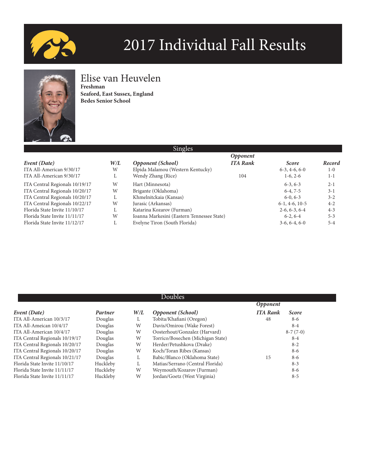



## Elise van Heuvelen

**Freshman Seaford, East Sussex, England Bedes Senior School**

| ITA All-American 9/30/17 |  |
|--------------------------|--|
| ITA All-American 9/30/17 |  |

| ITA Central Regionals 10/19/17 |
|--------------------------------|
| ITA Central Regionals 10/20/17 |
| ITA Central Regionals 10/20/17 |
| ITA Central Regionals 10/22/17 |
| Florida State Invite 11/10/17  |
| Florida State Invite 11/11/17  |
| Florida State Invite 11/12/17  |

| <i><b>Opponent</b></i> |                  |         |  |  |  |
|------------------------|------------------|---------|--|--|--|
| <b>ITA Rank</b>        | <b>Score</b>     | Record  |  |  |  |
|                        | $6-3, 4-6, 6-0$  | $1-0$   |  |  |  |
| 104                    | $1-6, 2-6$       | $1 - 1$ |  |  |  |
|                        | $6-3, 6-3$       | $2 - 1$ |  |  |  |
|                        | $6-4, 7-5$       | $3-1$   |  |  |  |
|                        | $6-0, 6-3$       | $3 - 2$ |  |  |  |
|                        | $6-1, 4-6, 10-5$ | $4 - 2$ |  |  |  |
|                        | $2-6, 6-3, 6-4$  | $4 - 3$ |  |  |  |
|                        | $6-2, 6-4$       | $5 - 3$ |  |  |  |
|                        | $3-6, 6-4, 6-0$  | $5 - 4$ |  |  |  |
|                        |                  |         |  |  |  |

| Doubles                        |          |     |                                   |                 |              |  |  |
|--------------------------------|----------|-----|-----------------------------------|-----------------|--------------|--|--|
| <b>Opponent</b>                |          |     |                                   |                 |              |  |  |
| Event (Date)                   | Partner  | W/L | <b>Opponent</b> (School)          | <b>ITA Rank</b> | <b>Score</b> |  |  |
| ITA All-American 10/3/17       | Douglas  | L   | Tobita/Khafiani (Oregon)          | 48              | $8-6$        |  |  |
| ITA All-Ameican 10/4/17        | Douglas  | W   | Davis/Omirou (Wake Forest)        |                 | $8 - 4$      |  |  |
| ITA All-American 10/4/17       | Douglas  | W   | Oosterhout/Gonzalez (Harvard)     |                 | $8-7(7-0)$   |  |  |
| ITA Central Regionals 10/19/17 | Douglas  | W   | Torrico/Bosechen (Michigan State) |                 | $8 - 4$      |  |  |
| ITA Central Regionals 10/20/17 | Douglas  | W   | Herder/Petushkova (Drake)         |                 | $8 - 2$      |  |  |
| ITA Central Regionals 10/20/17 | Douglas  | W   | Koch/Toran Ribes (Kansas)         |                 | $8-6$        |  |  |
| ITA Central Regionals 10/21/17 | Douglas  | L   | Babic/Blanco (Oklahoma State)     | 15              | $8-6$        |  |  |
| Florida State Invite 11/10/17  | Huckleby | L   | Matias/Serrano (Central Florida)  |                 | $8 - 3$      |  |  |
| Florida State Invite 11/11/17  | Huckleby | W   | Weymouth/Kozarov (Furman)         |                 | $8-6$        |  |  |
| Florida State Invite 11/11/17  | Huckleby | W   | Jordan/Goetz (West Virginia)      |                 | $8 - 5$      |  |  |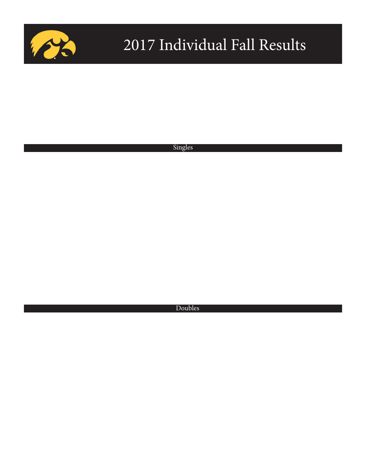

Singles